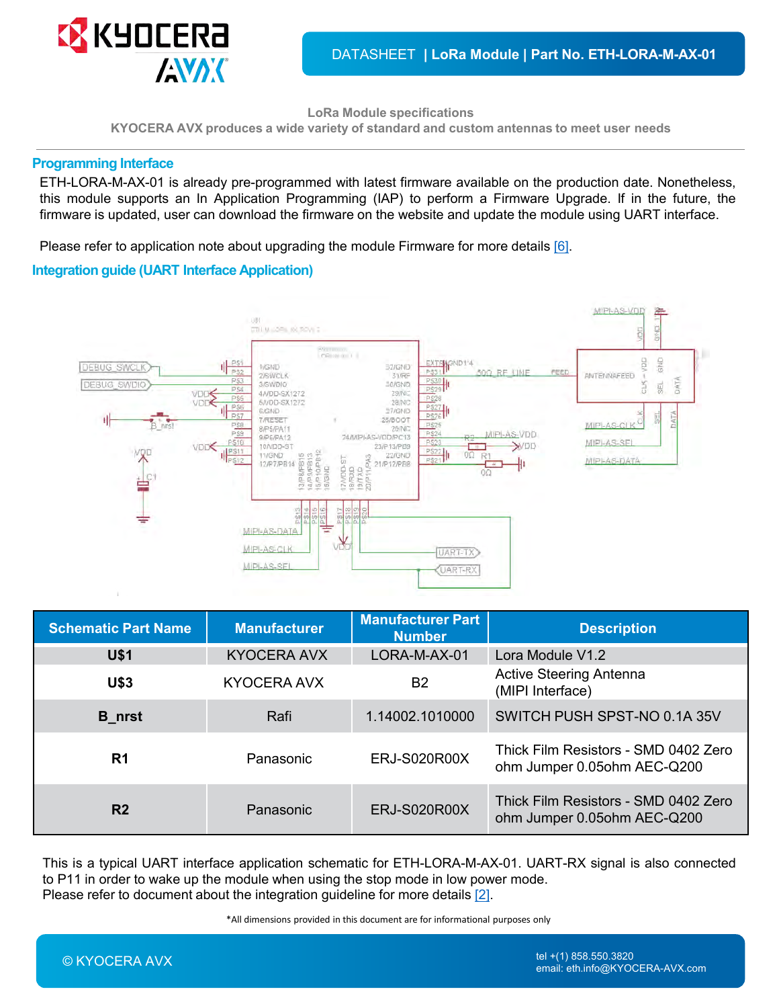**LoRa Module specifications**

**KYOCERA AVX produces a wide variety of standard and custom antennas to meet user needs**

#### **Programming Interface**

ETH-LORA-M-AX-01 is already pre-programmed with latest firmware available on the production date. Nonetheless, this module supports an In Application Programming (IAP) to perform a Firmware Upgrade. If in the future, the firmware is updated, user can download the firmware on the website and update the module using UART interface.

Please refer to application note about upgrading the module Firmware for more details [\[6\]](#page-9-0).

### **Integration guide (UART Interface Application)**



| <b>Schematic Part Name</b> | <b>Manufacturer</b> | <b>Manufacturer Part</b><br><b>Number</b> | <b>Description</b>                                                  |
|----------------------------|---------------------|-------------------------------------------|---------------------------------------------------------------------|
| <b>U\$1</b>                | <b>KYOCERA AVX</b>  | LORA-M-AX-01                              | Lora Module V1.2                                                    |
| <b>U\$3</b>                | KYOCERA AVX         | B <sub>2</sub>                            | <b>Active Steering Antenna</b><br>(MIPI Interface)                  |
| <b>B_nrst</b>              | Rafi                | 1.14002.1010000                           | SWITCH PUSH SPST-NO 0.1A 35V                                        |
| R <sub>1</sub>             | Panasonic           | <b>ERJ-S020R00X</b>                       | Thick Film Resistors - SMD 0402 Zero<br>ohm Jumper 0.05ohm AEC-Q200 |
| R <sub>2</sub>             | Panasonic           | <b>ERJ-S020R00X</b>                       | Thick Film Resistors - SMD 0402 Zero<br>ohm Jumper 0.05ohm AEC-Q200 |

This is a typical UART interface application schematic for ETH-LORA-M-AX-01. UART-RX signal is also connected to P11 in order to wake up the module when using the stop mode in low power mode. Please refer to document about the integration guideline for more details [\[2\]](#page-9-0).

\*All dimensions provided in this document are for informational purposes only